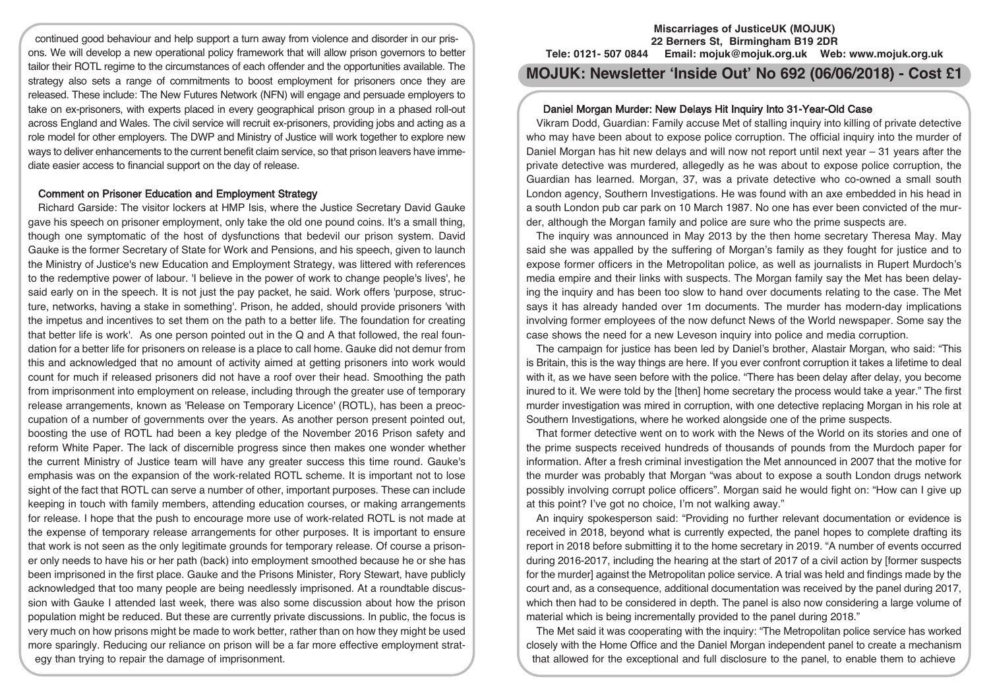continued good behaviour and help support a turn away from violence and disorder in our prisons. We will develop a new operational policy framework that will allow prison governors to better tailor their ROTL regime to the circumstances of each offender and the opportunities available. The strategy also sets a range of commitments to boost employment for prisoners once they are released. These include: The New Futures Network (NFN) will engage and persuade employers to take on ex-prisoners, with experts placed in every geographical prison group in a phased roll-out across England and Wales. The civil service will recruit ex-prisoners, providing jobs and acting as a role model for other employers. The DWP and Ministry of Justice will work together to explore new ways to deliver enhancements to the current benefit claim service, so that prison leavers have immediate easier access to financial support on the day of release.

#### Comment on Prisoner Education and Employment Strategy

Richard Garside: The visitor lockers at HMP Isis, where the Justice Secretary David Gauke gave his speech on prisoner employment, only take the old one pound coins. It's a small thing, though one symptomatic of the host of dysfunctions that bedevil our prison system. David Gauke is the former Secretary of State for Work and Pensions, and his speech, given to launch the Ministry of Justice's new Education and Employment Strategy, was littered with references to the redemptive power of labour. 'I believe in the power of work to change people's lives', he said early on in the speech. It is not just the pay packet, he said. Work offers 'purpose, structure, networks, having a stake in something'. Prison, he added, should provide prisoners 'with the impetus and incentives to set them on the path to a better life. The foundation for creating that better life is work'. As one person pointed out in the Q and A that followed, the real foundation for a better life for prisoners on release is a place to call home. Gauke did not demur from this and acknowledged that no amount of activity aimed at getting prisoners into work would count for much if released prisoners did not have a roof over their head. Smoothing the path from imprisonment into employment on release, including through the greater use of temporary release arrangements, known as 'Release on Temporary Licence' (ROTL), has been a preoccupation of a number of governments over the years. As another person present pointed out, boosting the use of ROTL had been a key pledge of the November 2016 Prison safety and reform White Paper. The lack of discernible progress since then makes one wonder whether the current Ministry of Justice team will have any greater success this time round. Gauke's emphasis was on the expansion of the work-related ROTL scheme. It is important not to lose sight of the fact that ROTL can serve a number of other, important purposes. These can include keeping in touch with family members, attending education courses, or making arrangements for release. I hope that the push to encourage more use of work-related ROTL is not made at the expense of temporary release arrangements for other purposes. It is important to ensure that work is not seen as the only legitimate grounds for temporary release. Of course a prisoner only needs to have his or her path (back) into employment smoothed because he or she has been imprisoned in the first place. Gauke and the Prisons Minister, Rory Stewart, have publicly acknowledged that too many people are being needlessly imprisoned. At a roundtable discussion with Gauke I attended last week, there was also some discussion about how the prison population might be reduced. But these are currently private discussions. In public, the focus is very much on how prisons might be made to work better, rather than on how they might be used more sparingly. Reducing our reliance on prison will be a far more effective employment strategy than trying to repair the damage of imprisonment.

#### **Miscarriages of JusticeUK (MOJUK) 22 Berners St, Birmingham B19 2DR Tele: 0121- 507 0844 Email: mojuk@mojuk.org.uk Web: www.mojuk.org.uk**

# **MOJUK: Newsletter 'Inside Out' No 692 (06/06/2018) - Cost £1**

#### Daniel Morgan Murder: New Delays Hit Inquiry Into 31-Year-Old Case

Vikram Dodd, Guardian: Family accuse Met of stalling inquiry into killing of private detective who may have been about to expose police corruption. The official inquiry into the murder of Daniel Morgan has hit new delays and will now not report until next year – 31 years after the private detective was murdered, allegedly as he was about to expose police corruption, the Guardian has learned. Morgan, 37, was a private detective who co-owned a small south London agency, Southern Investigations. He was found with an axe embedded in his head in a south London pub car park on 10 March 1987. No one has ever been convicted of the murder, although the Morgan family and police are sure who the prime suspects are.

The inquiry was announced in May 2013 by the then home secretary Theresa May. May said she was appalled by the suffering of Morgan's family as they fought for justice and to expose former officers in the Metropolitan police, as well as journalists in Rupert Murdoch's media empire and their links with suspects. The Morgan family say the Met has been delaying the inquiry and has been too slow to hand over documents relating to the case. The Met says it has already handed over 1m documents. The murder has modern-day implications involving former employees of the now defunct News of the World newspaper. Some say the case shows the need for a new Leveson inquiry into police and media corruption.

The campaign for justice has been led by Daniel's brother, Alastair Morgan, who said: "This is Britain, this is the way things are here. If you ever confront corruption it takes a lifetime to deal with it, as we have seen before with the police. "There has been delay after delay, you become inured to it. We were told by the [then] home secretary the process would take a year." The first murder investigation was mired in corruption, with one detective replacing Morgan in his role at Southern Investigations, where he worked alongside one of the prime suspects.

That former detective went on to work with the News of the World on its stories and one of the prime suspects received hundreds of thousands of pounds from the Murdoch paper for information. After a fresh criminal investigation the Met announced in 2007 that the motive for the murder was probably that Morgan "was about to expose a south London drugs network possibly involving corrupt police officers". Morgan said he would fight on: "How can I give up at this point? I've got no choice, I'm not walking away."

An inquiry spokesperson said: "Providing no further relevant documentation or evidence is received in 2018, beyond what is currently expected, the panel hopes to complete drafting its report in 2018 before submitting it to the home secretary in 2019. "A number of events occurred during 2016-2017, including the hearing at the start of 2017 of a civil action by [former suspects for the murder] against the Metropolitan police service. A trial was held and findings made by the court and, as a consequence, additional documentation was received by the panel during 2017, which then had to be considered in depth. The panel is also now considering a large volume of material which is being incrementally provided to the panel during 2018."

The Met said it was cooperating with the inquiry: "The Metropolitan police service has worked closely with the Home Office and the Daniel Morgan independent panel to create a mechanism that allowed for the exceptional and full disclosure to the panel, to enable them to achieve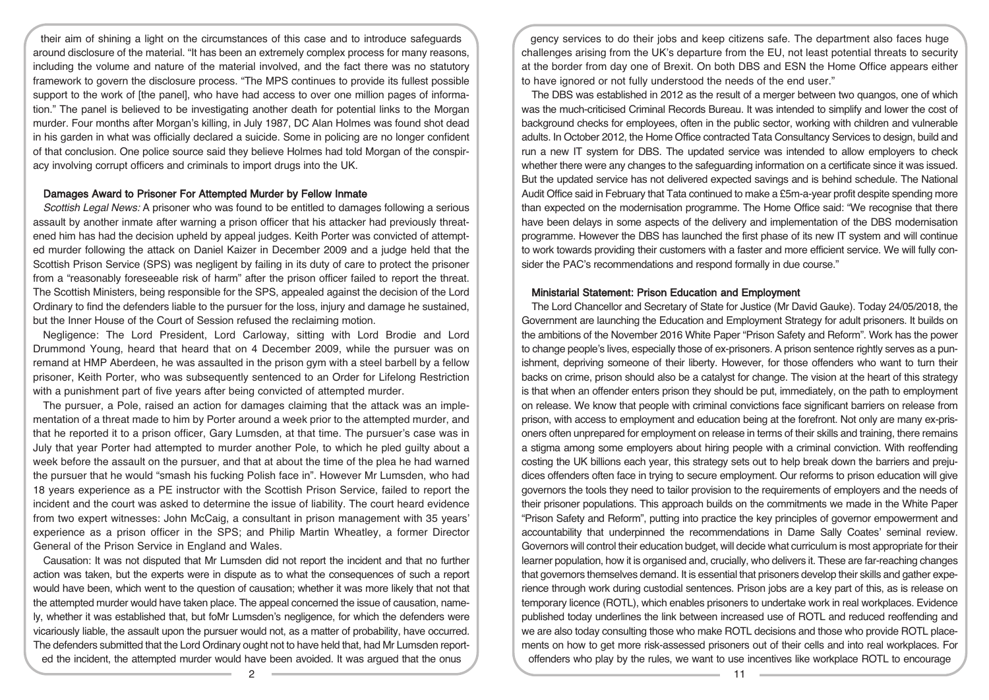their aim of shining a light on the circumstances of this case and to introduce safeguards around disclosure of the material. "It has been an extremely complex process for many reasons, including the volume and nature of the material involved, and the fact there was no statutory framework to govern the disclosure process. "The MPS continues to provide its fullest possible support to the work of [the panel], who have had access to over one million pages of information." The panel is believed to be investigating another death for potential links to the Morgan murder. Four months after Morgan's killing, in July 1987, DC Alan Holmes was found shot dead in his garden in what was officially declared a suicide. Some in policing are no longer confident of that conclusion. One police source said they believe Holmes had told Morgan of the conspiracy involving corrupt officers and criminals to import drugs into the UK.

#### Damages Award to Prisoner For Attempted Murder by Fellow Inmate

Scottish Legal News: A prisoner who was found to be entitled to damages following a serious assault by another inmate after warning a prison officer that his attacker had previously threatened him has had the decision upheld by appeal judges. Keith Porter was convicted of attempted murder following the attack on Daniel Kaizer in December 2009 and a judge held that the Scottish Prison Service (SPS) was negligent by failing in its duty of care to protect the prisoner from a "reasonably foreseeable risk of harm" after the prison officer failed to report the threat. The Scottish Ministers, being responsible for the SPS, appealed against the decision of the Lord Ordinary to find the defenders liable to the pursuer for the loss, injury and damage he sustained, but the Inner House of the Court of Session refused the reclaiming motion.

Negligence: The Lord President, Lord Carloway, sitting with Lord Brodie and Lord Drummond Young, heard that heard that on 4 December 2009, while the pursuer was on remand at HMP Aberdeen, he was assaulted in the prison gym with a steel barbell by a fellow prisoner, Keith Porter, who was subsequently sentenced to an Order for Lifelong Restriction with a punishment part of five years after being convicted of attempted murder.

The pursuer, a Pole, raised an action for damages claiming that the attack was an implementation of a threat made to him by Porter around a week prior to the attempted murder, and that he reported it to a prison officer, Gary Lumsden, at that time. The pursuer's case was in July that year Porter had attempted to murder another Pole, to which he pled guilty about a week before the assault on the pursuer, and that at about the time of the plea he had warned the pursuer that he would "smash his fucking Polish face in". However Mr Lumsden, who had 18 years experience as a PE instructor with the Scottish Prison Service, failed to report the incident and the court was asked to determine the issue of liability. The court heard evidence from two expert witnesses: John McCaig, a consultant in prison management with 35 years' experience as a prison officer in the SPS; and Philip Martin Wheatley, a former Director General of the Prison Service in England and Wales.

Causation: It was not disputed that Mr Lumsden did not report the incident and that no further action was taken, but the experts were in dispute as to what the consequences of such a report would have been, which went to the question of causation; whether it was more likely that not that the attempted murder would have taken place. The appeal concerned the issue of causation, namely, whether it was established that, but foMr Lumsden's negligence, for which the defenders were vicariously liable, the assault upon the pursuer would not, as a matter of probability, have occurred. The defenders submitted that the Lord Ordinary ought not to have held that, had Mr Lumsden reported the incident, the attempted murder would have been avoided. It was argued that the onus

gency services to do their jobs and keep citizens safe. The department also faces huge challenges arising from the UK's departure from the EU, not least potential threats to security at the border from day one of Brexit. On both DBS and ESN the Home Office appears either to have ignored or not fully understood the needs of the end user."

The DBS was established in 2012 as the result of a merger between two quangos, one of which was the much-criticised Criminal Records Bureau. It was intended to simplify and lower the cost of background checks for employees, often in the public sector, working with children and vulnerable adults. In October 2012, the Home Office contracted Tata Consultancy Services to design, build and run a new IT system for DBS. The updated service was intended to allow employers to check whether there were any changes to the safeguarding information on a certificate since it was issued. But the updated service has not delivered expected savings and is behind schedule. The National Audit Office said in February that Tata continued to make a £5m-a-year profit despite spending more than expected on the modernisation programme. The Home Office said: "We recognise that there have been delays in some aspects of the delivery and implementation of the DBS modernisation programme. However the DBS has launched the first phase of its new IT system and will continue to work towards providing their customers with a faster and more efficient service. We will fully consider the PAC's recommendations and respond formally in due course."

#### Ministarial Statement: Prison Education and Employment

The Lord Chancellor and Secretary of State for Justice (Mr David Gauke). Today 24/05/2018, the Government are launching the Education and Employment Strategy for adult prisoners. It builds on the ambitions of the November 2016 White Paper "Prison Safety and Reform". Work has the power to change people's lives, especially those of ex-prisoners. A prison sentence rightly serves as a punishment, depriving someone of their liberty. However, for those offenders who want to turn their backs on crime, prison should also be a catalyst for change. The vision at the heart of this strategy is that when an offender enters prison they should be put, immediately, on the path to employment on release. We know that people with criminal convictions face significant barriers on release from prison, with access to employment and education being at the forefront. Not only are many ex-prisoners often unprepared for employment on release in terms of their skills and training, there remains a stigma among some employers about hiring people with a criminal conviction. With reoffending costing the UK billions each year, this strategy sets out to help break down the barriers and prejudices offenders often face in trying to secure employment. Our reforms to prison education will give governors the tools they need to tailor provision to the requirements of employers and the needs of their prisoner populations. This approach builds on the commitments we made in the White Paper "Prison Safety and Reform", putting into practice the key principles of governor empowerment and accountability that underpinned the recommendations in Dame Sally Coates' seminal review. Governors will control their education budget, will decide what curriculum is most appropriate for their learner population, how it is organised and, crucially, who delivers it. These are far-reaching changes that governors themselves demand. It is essential that prisoners develop their skills and gather experience through work during custodial sentences. Prison jobs are a key part of this, as is release on temporary licence (ROTL), which enables prisoners to undertake work in real workplaces. Evidence published today underlines the link between increased use of ROTL and reduced reoffending and we are also today consulting those who make ROTL decisions and those who provide ROTL placements on how to get more risk-assessed prisoners out of their cells and into real workplaces. For offenders who play by the rules, we want to use incentives like workplace ROTL to encourage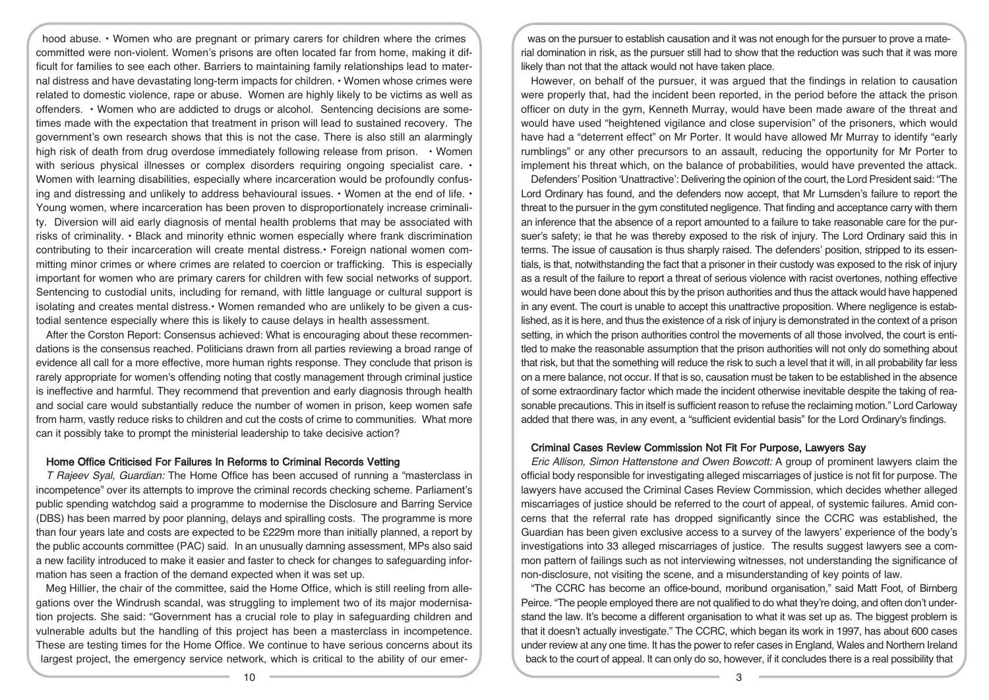hood abuse. • Women who are pregnant or primary carers for children where the crimes committed were non-violent. Women's prisons are often located far from home, making it difficult for families to see each other. Barriers to maintaining family relationships lead to maternal distress and have devastating long-term impacts for children. • Women whose crimes were related to domestic violence, rape or abuse. Women are highly likely to be victims as well as offenders. • Women who are addicted to drugs or alcohol. Sentencing decisions are sometimes made with the expectation that treatment in prison will lead to sustained recovery. The government's own research shows that this is not the case. There is also still an alarmingly high risk of death from drug overdose immediately following release from prison. • Women with serious physical illnesses or complex disorders requiring ongoing specialist care. • Women with learning disabilities, especially where incarceration would be profoundly confusing and distressing and unlikely to address behavioural issues. • Women at the end of life. • Young women, where incarceration has been proven to disproportionately increase criminality. Diversion will aid early diagnosis of mental health problems that may be associated with risks of criminality. • Black and minority ethnic women especially where frank discrimination contributing to their incarceration will create mental distress.• Foreign national women committing minor crimes or where crimes are related to coercion or trafficking. This is especially important for women who are primary carers for children with few social networks of support. Sentencing to custodial units, including for remand, with little language or cultural support is isolating and creates mental distress.• Women remanded who are unlikely to be given a custodial sentence especially where this is likely to cause delays in health assessment.

After the Corston Report: Consensus achieved: What is encouraging about these recommendations is the consensus reached. Politicians drawn from all parties reviewing a broad range of evidence all call for a more effective, more human rights response. They conclude that prison is rarely appropriate for women's offending noting that costly management through criminal justice is ineffective and harmful. They recommend that prevention and early diagnosis through health and social care would substantially reduce the number of women in prison, keep women safe from harm, vastly reduce risks to children and cut the costs of crime to communities. What more can it possibly take to prompt the ministerial leadership to take decisive action?

#### Home Office Criticised For Failures In Reforms to Criminal Records Vetting

<sup>T</sup> Rajeev Syal, Guardian: The Home Office has been accused of running a "masterclass in incompetence" over its attempts to improve the criminal records checking scheme. Parliament's public spending watchdog said a programme to modernise the Disclosure and Barring Service (DBS) has been marred by poor planning, delays and spiralling costs. The programme is more than four years late and costs are expected to be £229m more than initially planned, a report by the public accounts committee (PAC) said. In an unusually damning assessment, MPs also said a new facility introduced to make it easier and faster to check for changes to safeguarding information has seen a fraction of the demand expected when it was set up.

Meg Hillier, the chair of the committee, said the Home Office, which is still reeling from allegations over the Windrush scandal, was struggling to implement two of its major modernisation projects. She said: "Government has a crucial role to play in safeguarding children and vulnerable adults but the handling of this project has been a masterclass in incompetence. These are testing times for the Home Office. We continue to have serious concerns about its largest project, the emergency service network, which is critical to the ability of our emer-

was on the pursuer to establish causation and it was not enough for the pursuer to prove a material domination in risk, as the pursuer still had to show that the reduction was such that it was more likely than not that the attack would not have taken place.

However, on behalf of the pursuer, it was argued that the findings in relation to causation were properly that, had the incident been reported, in the period before the attack the prison officer on duty in the gym, Kenneth Murray, would have been made aware of the threat and would have used "heightened vigilance and close supervision" of the prisoners, which would have had a "deterrent effect" on Mr Porter. It would have allowed Mr Murray to identify "early rumblings" or any other precursors to an assault, reducing the opportunity for Mr Porter to implement his threat which, on the balance of probabilities, would have prevented the attack.

Defenders' Position 'Unattractive': Delivering the opinion of the court, the Lord President said: "The Lord Ordinary has found, and the defenders now accept, that Mr Lumsden's failure to report the threat to the pursuer in the gym constituted negligence. That finding and acceptance carry with them an inference that the absence of a report amounted to a failure to take reasonable care for the pursuer's safety; ie that he was thereby exposed to the risk of injury. The Lord Ordinary said this in terms. The issue of causation is thus sharply raised. The defenders' position, stripped to its essentials, is that, notwithstanding the fact that a prisoner in their custody was exposed to the risk of injury as a result of the failure to report a threat of serious violence with racist overtones, nothing effective would have been done about this by the prison authorities and thus the attack would have happened in any event. The court is unable to accept this unattractive proposition. Where negligence is established, as it is here, and thus the existence of a risk of injury is demonstrated in the context of a prison setting, in which the prison authorities control the movements of all those involved, the court is entitled to make the reasonable assumption that the prison authorities will not only do something about that risk, but that the something will reduce the risk to such a level that it will, in all probability far less on a mere balance, not occur. If that is so, causation must be taken to be established in the absence of some extraordinary factor which made the incident otherwise inevitable despite the taking of reasonable precautions. This in itself is sufficient reason to refuse the reclaiming motion." Lord Carloway added that there was, in any event, a "sufficient evidential basis" for the Lord Ordinary's findings.

## Criminal Cases Review Commission Not Fit For Purpose, Lawyers Say

Eric Allison, Simon Hattenstone and Owen Bowcott: A group of prominent lawyers claim the official body responsible for investigating alleged miscarriages of justice is not fit for purpose. The lawyers have accused the Criminal Cases Review Commission, which decides whether alleged miscarriages of justice should be referred to the court of appeal, of systemic failures. Amid concerns that the referral rate has dropped significantly since the CCRC was established, the Guardian has been given exclusive access to a survey of the lawyers' experience of the body's investigations into 33 alleged miscarriages of justice. The results suggest lawyers see a common pattern of failings such as not interviewing witnesses, not understanding the significance of non-disclosure, not visiting the scene, and a misunderstanding of key points of law.

"The CCRC has become an office-bound, moribund organisation," said Matt Foot, of Birnberg Peirce. "The people employed there are not qualified to do what they're doing, and often don't understand the law. It's become a different organisation to what it was set up as. The biggest problem is that it doesn't actually investigate." The CCRC, which began its work in 1997, has about 600 cases under review at any one time. It has the power to refer cases in England, Wales and Northern Ireland back to the court of appeal. It can only do so, however, if it concludes there is a real possibility that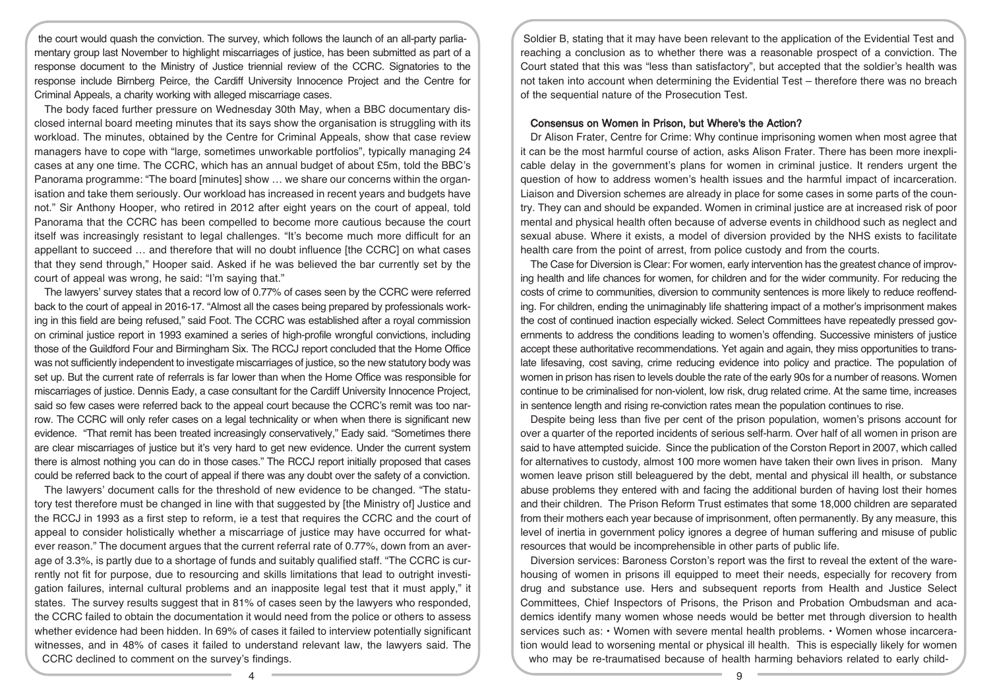the court would quash the conviction. The survey, which follows the launch of an all-party parliamentary group last November to highlight miscarriages of justice, has been submitted as part of a response document to the Ministry of Justice triennial review of the CCRC. Signatories to the response include Birnberg Peirce, the Cardiff University Innocence Project and the Centre for Criminal Appeals, a charity working with alleged miscarriage cases.

The body faced further pressure on Wednesday 30th May, when a BBC documentary disclosed internal board meeting minutes that its says show the organisation is struggling with its workload. The minutes, obtained by the Centre for Criminal Appeals, show that case review managers have to cope with "large, sometimes unworkable portfolios", typically managing 24 cases at any one time. The CCRC, which has an annual budget of about £5m, told the BBC's Panorama programme: "The board [minutes] show … we share our concerns within the organisation and take them seriously. Our workload has increased in recent years and budgets have not." Sir Anthony Hooper, who retired in 2012 after eight years on the court of appeal, told Panorama that the CCRC has been compelled to become more cautious because the court itself was increasingly resistant to legal challenges. "It's become much more difficult for an appellant to succeed … and therefore that will no doubt influence [the CCRC] on what cases that they send through," Hooper said. Asked if he was believed the bar currently set by the court of appeal was wrong, he said: "I'm saying that."

The lawyers' survey states that a record low of 0.77% of cases seen by the CCRC were referred back to the court of appeal in 2016-17. "Almost all the cases being prepared by professionals working in this field are being refused," said Foot. The CCRC was established after a royal commission on criminal justice report in 1993 examined a series of high-profile wrongful convictions, including those of the Guildford Four and Birmingham Six. The RCCJ report concluded that the Home Office was not sufficiently independent to investigate miscarriages of justice, so the new statutory body was set up. But the current rate of referrals is far lower than when the Home Office was responsible for miscarriages of justice. Dennis Eady, a case consultant for the Cardiff University Innocence Project, said so few cases were referred back to the appeal court because the CCRC's remit was too narrow. The CCRC will only refer cases on a legal technicality or when when there is significant new evidence. "That remit has been treated increasingly conservatively," Eady said. "Sometimes there are clear miscarriages of justice but it's very hard to get new evidence. Under the current system there is almost nothing you can do in those cases." The RCCJ report initially proposed that cases could be referred back to the court of appeal if there was any doubt over the safety of a conviction.

The lawyers' document calls for the threshold of new evidence to be changed. "The statutory test therefore must be changed in line with that suggested by [the Ministry of] Justice and the RCCJ in 1993 as a first step to reform, ie a test that requires the CCRC and the court of appeal to consider holistically whether a miscarriage of justice may have occurred for whatever reason." The document argues that the current referral rate of 0.77%, down from an average of 3.3%, is partly due to a shortage of funds and suitably qualified staff. "The CCRC is currently not fit for purpose, due to resourcing and skills limitations that lead to outright investigation failures, internal cultural problems and an inapposite legal test that it must apply," it states. The survey results suggest that in 81% of cases seen by the lawyers who responded. the CCRC failed to obtain the documentation it would need from the police or others to assess whether evidence had been hidden. In 69% of cases it failed to interview potentially significant witnesses, and in 48% of cases it failed to understand relevant law, the lawyers said. The CCRC declined to comment on the survey's findings.

Soldier B, stating that it may have been relevant to the application of the Evidential Test and reaching a conclusion as to whether there was a reasonable prospect of a conviction. The Court stated that this was "less than satisfactory", but accepted that the soldier's health was not taken into account when determining the Evidential Test – therefore there was no breach of the sequential nature of the Prosecution Test.

#### Consensus on Women in Prison, but Where's the Action?

Dr Alison Frater, Centre for Crime: Why continue imprisoning women when most agree that it can be the most harmful course of action, asks Alison Frater. There has been more inexplicable delay in the government's plans for women in criminal justice. It renders urgent the question of how to address women's health issues and the harmful impact of incarceration. Liaison and Diversion schemes are already in place for some cases in some parts of the country. They can and should be expanded. Women in criminal justice are at increased risk of poor mental and physical health often because of adverse events in childhood such as neglect and sexual abuse. Where it exists, a model of diversion provided by the NHS exists to facilitate health care from the point of arrest, from police custody and from the courts.

The Case for Diversion is Clear: For women, early intervention has the greatest chance of improving health and life chances for women, for children and for the wider community. For reducing the costs of crime to communities, diversion to community sentences is more likely to reduce reoffending. For children, ending the unimaginably life shattering impact of a mother's imprisonment makes the cost of continued inaction especially wicked. Select Committees have repeatedly pressed governments to address the conditions leading to women's offending. Successive ministers of justice accept these authoritative recommendations. Yet again and again, they miss opportunities to translate lifesaving, cost saving, crime reducing evidence into policy and practice. The population of women in prison has risen to levels double the rate of the early 90s for a number of reasons. Women continue to be criminalised for non-violent, low risk, drug related crime. At the same time, increases in sentence length and rising re-conviction rates mean the population continues to rise.

Despite being less than five per cent of the prison population, women's prisons account for over a quarter of the reported incidents of serious self-harm. Over half of all women in prison are said to have attempted suicide. Since the publication of the Corston Report in 2007, which called for alternatives to custody, almost 100 more women have taken their own lives in prison. Many women leave prison still beleaguered by the debt, mental and physical ill health, or substance abuse problems they entered with and facing the additional burden of having lost their homes and their children. The Prison Reform Trust estimates that some 18,000 children are separated from their mothers each year because of imprisonment, often permanently. By any measure, this level of inertia in government policy ignores a degree of human suffering and misuse of public resources that would be incomprehensible in other parts of public life.

Diversion services: Baroness Corston's report was the first to reveal the extent of the warehousing of women in prisons ill equipped to meet their needs, especially for recovery from drug and substance use. Hers and subsequent reports from Health and Justice Select Committees, Chief Inspectors of Prisons, the Prison and Probation Ombudsman and academics identify many women whose needs would be better met through diversion to health services such as: • Women with severe mental health problems. • Women whose incarceration would lead to worsening mental or physical ill health. This is especially likely for women who may be re-traumatised because of health harming behaviors related to early child-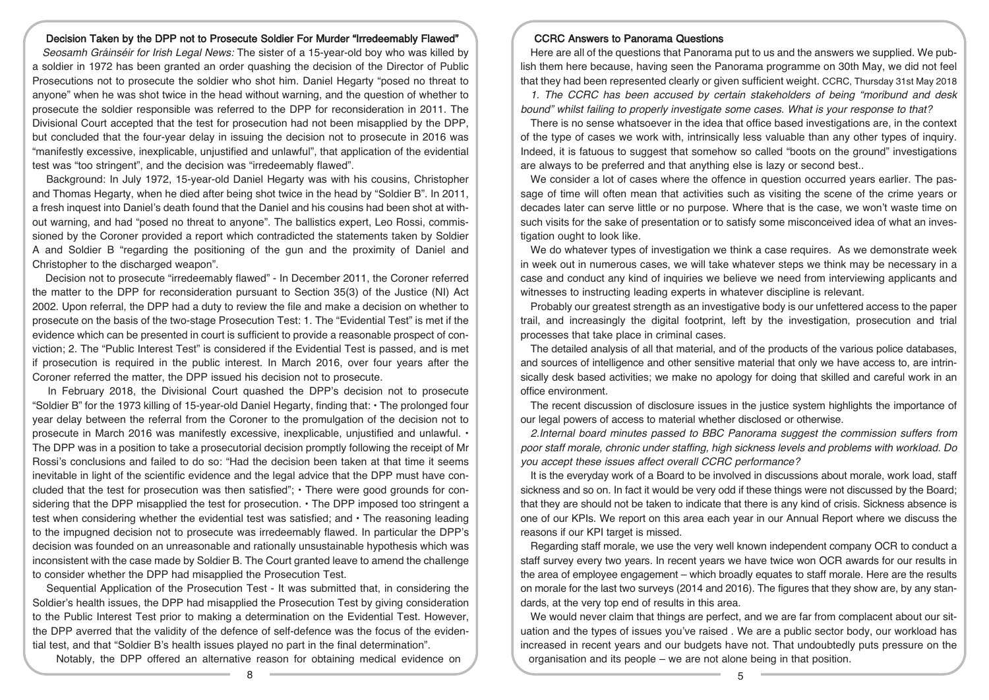### Decision Taken by the DPP not to Prosecute Soldier For Murder "Irredeemably Flawed"

Seosamh Gráinséir for Irish Legal News: The sister of a 15-year-old boy who was killed by a soldier in 1972 has been granted an order quashing the decision of the Director of Public Prosecutions not to prosecute the soldier who shot him. Daniel Hegarty "posed no threat to anyone" when he was shot twice in the head without warning, and the question of whether to prosecute the soldier responsible was referred to the DPP for reconsideration in 2011. The Divisional Court accepted that the test for prosecution had not been misapplied by the DPP, but concluded that the four-year delay in issuing the decision not to prosecute in 2016 was "manifestly excessive, inexplicable, unjustified and unlawful", that application of the evidential test was "too stringent", and the decision was "irredeemably flawed".

Background: In July 1972, 15-year-old Daniel Hegarty was with his cousins, Christopher and Thomas Hegarty, when he died after being shot twice in the head by "Soldier B". In 2011, a fresh inquest into Daniel's death found that the Daniel and his cousins had been shot at without warning, and had "posed no threat to anyone". The ballistics expert, Leo Rossi, commissioned by the Coroner provided a report which contradicted the statements taken by Soldier A and Soldier B "regarding the positioning of the gun and the proximity of Daniel and Christopher to the discharged weapon".

Decision not to prosecute "irredeemably flawed" - In December 2011, the Coroner referred the matter to the DPP for reconsideration pursuant to Section 35(3) of the Justice (NI) Act 2002. Upon referral, the DPP had a duty to review the file and make a decision on whether to prosecute on the basis of the two-stage Prosecution Test: 1. The "Evidential Test" is met if the evidence which can be presented in court is sufficient to provide a reasonable prospect of conviction; 2. The "Public Interest Test" is considered if the Evidential Test is passed, and is met if prosecution is required in the public interest. In March 2016, over four years after the Coroner referred the matter, the DPP issued his decision not to prosecute.

In February 2018, the Divisional Court quashed the DPP's decision not to prosecute "Soldier B" for the 1973 killing of 15-year-old Daniel Hegarty, finding that: • The prolonged four year delay between the referral from the Coroner to the promulgation of the decision not to prosecute in March 2016 was manifestly excessive, inexplicable, unjustified and unlawful. • The DPP was in a position to take a prosecutorial decision promptly following the receipt of Mr Rossi's conclusions and failed to do so: "Had the decision been taken at that time it seems inevitable in light of the scientific evidence and the legal advice that the DPP must have concluded that the test for prosecution was then satisfied"; • There were good grounds for considering that the DPP misapplied the test for prosecution.  $\cdot$  The DPP imposed too stringent a test when considering whether the evidential test was satisfied; and • The reasoning leading to the impugned decision not to prosecute was irredeemably flawed. In particular the DPP's decision was founded on an unreasonable and rationally unsustainable hypothesis which was inconsistent with the case made by Soldier B. The Court granted leave to amend the challenge to consider whether the DPP had misapplied the Prosecution Test.

Sequential Application of the Prosecution Test - It was submitted that, in considering the Soldier's health issues, the DPP had misapplied the Prosecution Test by giving consideration to the Public Interest Test prior to making a determination on the Evidential Test. However, the DPP averred that the validity of the defence of self-defence was the focus of the evidential test, and that "Soldier B's health issues played no part in the final determination".

Notably, the DPP offered an alternative reason for obtaining medical evidence on

#### CCRC Answers to Panorama Questions

Here are all of the questions that Panorama put to us and the answers we supplied. We publish them here because, having seen the Panorama programme on 30th May, we did not feel that they had been represented clearly or given sufficient weight. CCRC, Thursday 31st May 2018

1. The CCRC has been accused by certain stakeholders of being "moribund and desk bound" whilst failing to properly investigate some cases. What is your response to that?

There is no sense whatsoever in the idea that office based investigations are, in the context of the type of cases we work with, intrinsically less valuable than any other types of inquiry. Indeed, it is fatuous to suggest that somehow so called "boots on the ground" investigations are always to be preferred and that anything else is lazy or second best..

We consider a lot of cases where the offence in question occurred years earlier. The passage of time will often mean that activities such as visiting the scene of the crime years or decades later can serve little or no purpose. Where that is the case, we won't waste time on such visits for the sake of presentation or to satisfy some misconceived idea of what an investigation ought to look like.

We do whatever types of investigation we think a case requires. As we demonstrate week in week out in numerous cases, we will take whatever steps we think may be necessary in a case and conduct any kind of inquiries we believe we need from interviewing applicants and witnesses to instructing leading experts in whatever discipline is relevant.

Probably our greatest strength as an investigative body is our unfettered access to the paper trail, and increasingly the digital footprint, left by the investigation, prosecution and trial processes that take place in criminal cases.

The detailed analysis of all that material, and of the products of the various police databases, and sources of intelligence and other sensitive material that only we have access to, are intrinsically desk based activities; we make no apology for doing that skilled and careful work in an office environment.

The recent discussion of disclosure issues in the justice system highlights the importance of our legal powers of access to material whether disclosed or otherwise.

2.Internal board minutes passed to BBC Panorama suggest the commission suffers from poor staff morale, chronic under staffing, high sickness levels and problems with workload. Do you accept these issues affect overall CCRC performance?

It is the everyday work of a Board to be involved in discussions about morale, work load, staff sickness and so on. In fact it would be very odd if these things were not discussed by the Board; that they are should not be taken to indicate that there is any kind of crisis. Sickness absence is one of our KPIs. We report on this area each year in our Annual Report where we discuss the reasons if our KPI target is missed.

Regarding staff morale, we use the very well known independent company OCR to conduct a staff survey every two years. In recent years we have twice won OCR awards for our results in the area of employee engagement – which broadly equates to staff morale. Here are the results on morale for the last two surveys (2014 and 2016). The figures that they show are, by any standards, at the very top end of results in this area.

We would never claim that things are perfect, and we are far from complacent about our situation and the types of issues you've raised . We are a public sector body, our workload has increased in recent years and our budgets have not. That undoubtedly puts pressure on the organisation and its people – we are not alone being in that position.